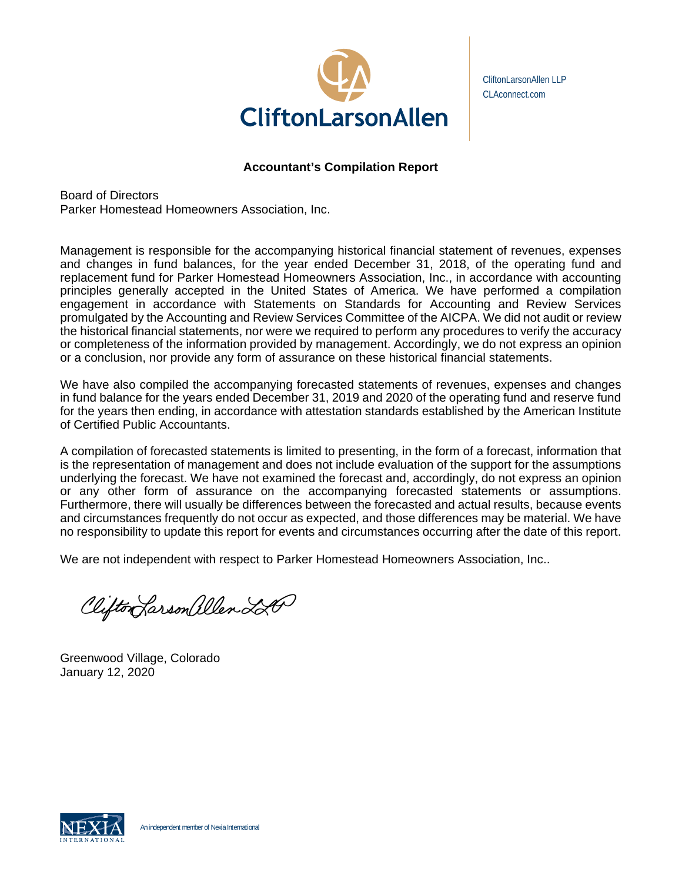

CliftonLarsonAllen LLP CLAconnect.com

# **Accountant's Compilation Report**

Board of Directors Parker Homestead Homeowners Association, Inc.

Management is responsible for the accompanying historical financial statement of revenues, expenses and changes in fund balances, for the year ended December 31, 2018, of the operating fund and replacement fund for Parker Homestead Homeowners Association, Inc., in accordance with accounting principles generally accepted in the United States of America. We have performed a compilation engagement in accordance with Statements on Standards for Accounting and Review Services promulgated by the Accounting and Review Services Committee of the AICPA. We did not audit or review the historical financial statements, nor were we required to perform any procedures to verify the accuracy or completeness of the information provided by management. Accordingly, we do not express an opinion or a conclusion, nor provide any form of assurance on these historical financial statements.

We have also compiled the accompanying forecasted statements of revenues, expenses and changes in fund balance for the years ended December 31, 2019 and 2020 of the operating fund and reserve fund for the years then ending, in accordance with attestation standards established by the American Institute of Certified Public Accountants.

A compilation of forecasted statements is limited to presenting, in the form of a forecast, information that is the representation of management and does not include evaluation of the support for the assumptions underlying the forecast. We have not examined the forecast and, accordingly, do not express an opinion or any other form of assurance on the accompanying forecasted statements or assumptions. Furthermore, there will usually be differences between the forecasted and actual results, because events and circumstances frequently do not occur as expected, and those differences may be material. We have no responsibility to update this report for events and circumstances occurring after the date of this report.

We are not independent with respect to Parker Homestead Homeowners Association, Inc..

Clifton Larson allen 220

Greenwood Village, Colorado January 12, 2020

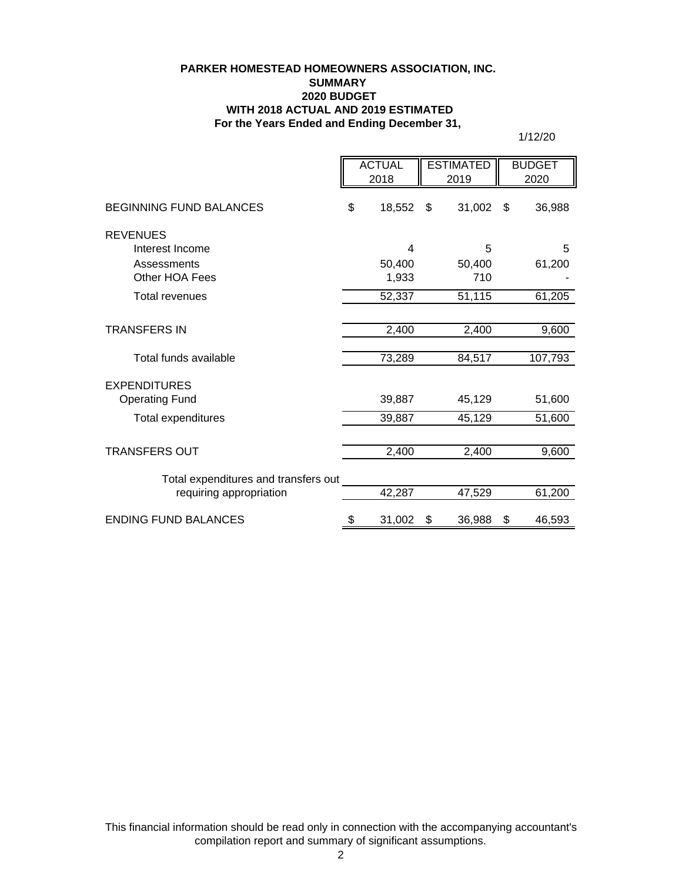#### **PARKER HOMESTEAD HOMEOWNERS ASSOCIATION, INC. SUMMARY 2020 BUDGET WITH 2018 ACTUAL AND 2019 ESTIMATED For the Years Ended and Ending December 31,**

1/12/20

|                                                                    | <b>ACTUAL</b><br>2018 |   | <b>ESTIMATED</b><br>2019 |     | <b>BUDGET</b><br>2020 |                  |
|--------------------------------------------------------------------|-----------------------|---|--------------------------|-----|-----------------------|------------------|
| BEGINNING FUND BALANCES                                            | \$<br>18,552          |   | \$<br>31,002             |     | \$                    | 36,988           |
| <b>REVENUES</b><br>Interest Income                                 |                       | 4 |                          | 5   |                       | 5                |
| Assessments<br>Other HOA Fees                                      | 50,400<br>1,933       |   | 50,400                   | 710 |                       | 61,200           |
| <b>Total revenues</b>                                              | 52,337                |   | 51,115                   |     |                       | 61,205           |
| <b>TRANSFERS IN</b>                                                | 2,400                 |   | 2,400                    |     |                       | 9,600            |
| Total funds available                                              | 73,289                |   | 84,517                   |     |                       | 107,793          |
| <b>EXPENDITURES</b><br><b>Operating Fund</b><br>Total expenditures | 39,887<br>39,887      |   | 45,129<br>45,129         |     |                       | 51,600<br>51,600 |
| <b>TRANSFERS OUT</b>                                               | 2,400                 |   | 2,400                    |     |                       | 9,600            |
| Total expenditures and transfers out<br>requiring appropriation    | 42,287                |   | 47,529                   |     |                       | 61,200           |
| <b>ENDING FUND BALANCES</b>                                        | 31,002<br>\$          |   | 36,988<br>\$             |     | \$                    | 46,593           |

This financial information should be read only in connection with the accompanying accountant's compilation report and summary of significant assumptions.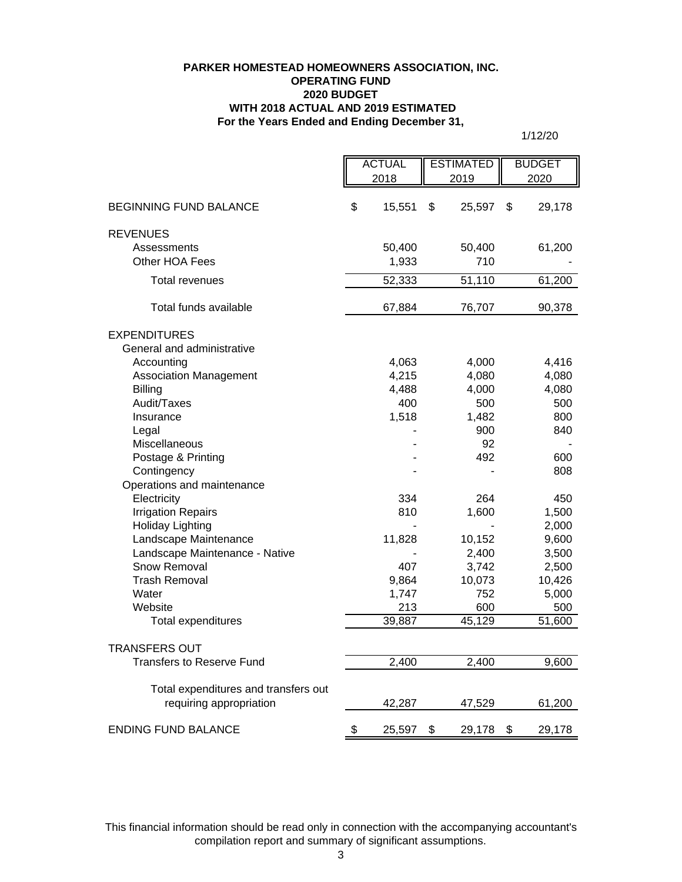## **For the Years Ended and Ending December 31, PARKER HOMESTEAD HOMEOWNERS ASSOCIATION, INC. OPERATING FUND 2020 BUDGET WITH 2018 ACTUAL AND 2019 ESTIMATED**

1/12/20

|                                      | <b>ACTUAL</b> |        | <b>ESTIMATED</b> |        | <b>BUDGET</b> |        |
|--------------------------------------|---------------|--------|------------------|--------|---------------|--------|
|                                      | 2018          |        | 2019             |        | 2020          |        |
|                                      |               |        |                  |        |               |        |
| <b>BEGINNING FUND BALANCE</b>        | \$            | 15,551 | \$               | 25,597 | \$            | 29,178 |
| <b>REVENUES</b>                      |               |        |                  |        |               |        |
| Assessments                          |               | 50,400 |                  | 50,400 |               | 61,200 |
| Other HOA Fees                       |               | 1,933  |                  | 710    |               |        |
| <b>Total revenues</b>                |               | 52,333 |                  | 51,110 |               | 61,200 |
| Total funds available                |               | 67,884 |                  | 76,707 |               | 90,378 |
| <b>EXPENDITURES</b>                  |               |        |                  |        |               |        |
| General and administrative           |               |        |                  |        |               |        |
| Accounting                           |               | 4,063  |                  | 4,000  |               | 4,416  |
| <b>Association Management</b>        |               | 4,215  |                  | 4,080  |               | 4,080  |
| <b>Billing</b>                       |               | 4,488  |                  | 4,000  |               | 4,080  |
| Audit/Taxes                          |               | 400    |                  | 500    |               | 500    |
| Insurance                            |               | 1,518  |                  | 1,482  |               | 800    |
| Legal                                |               |        |                  | 900    |               | 840    |
| Miscellaneous                        |               |        |                  | 92     |               |        |
| Postage & Printing                   |               |        |                  | 492    |               | 600    |
| Contingency                          |               |        |                  |        |               | 808    |
| Operations and maintenance           |               |        |                  |        |               |        |
| Electricity                          |               | 334    |                  | 264    |               | 450    |
| <b>Irrigation Repairs</b>            |               | 810    |                  | 1,600  |               | 1,500  |
| <b>Holiday Lighting</b>              |               |        |                  |        |               | 2,000  |
| Landscape Maintenance                |               | 11,828 |                  | 10,152 |               | 9,600  |
| Landscape Maintenance - Native       |               |        |                  | 2,400  |               | 3,500  |
| Snow Removal                         |               | 407    |                  | 3,742  |               | 2,500  |
| <b>Trash Removal</b>                 |               | 9,864  |                  | 10,073 |               | 10,426 |
| Water                                |               | 1,747  |                  | 752    |               | 5,000  |
| Website                              |               | 213    |                  | 600    |               | 500    |
| Total expenditures                   |               | 39,887 |                  | 45,129 |               | 51,600 |
| <b>TRANSFERS OUT</b>                 |               |        |                  |        |               |        |
| <b>Transfers to Reserve Fund</b>     |               | 2,400  |                  | 2,400  |               | 9,600  |
|                                      |               |        |                  |        |               |        |
| Total expenditures and transfers out |               |        |                  |        |               |        |
| requiring appropriation              |               | 42,287 |                  | 47,529 |               | 61,200 |
| <b>ENDING FUND BALANCE</b>           | \$            | 25,597 | \$               | 29,178 | \$            | 29,178 |

This financial information should be read only in connection with the accompanying accountant's compilation report and summary of significant assumptions.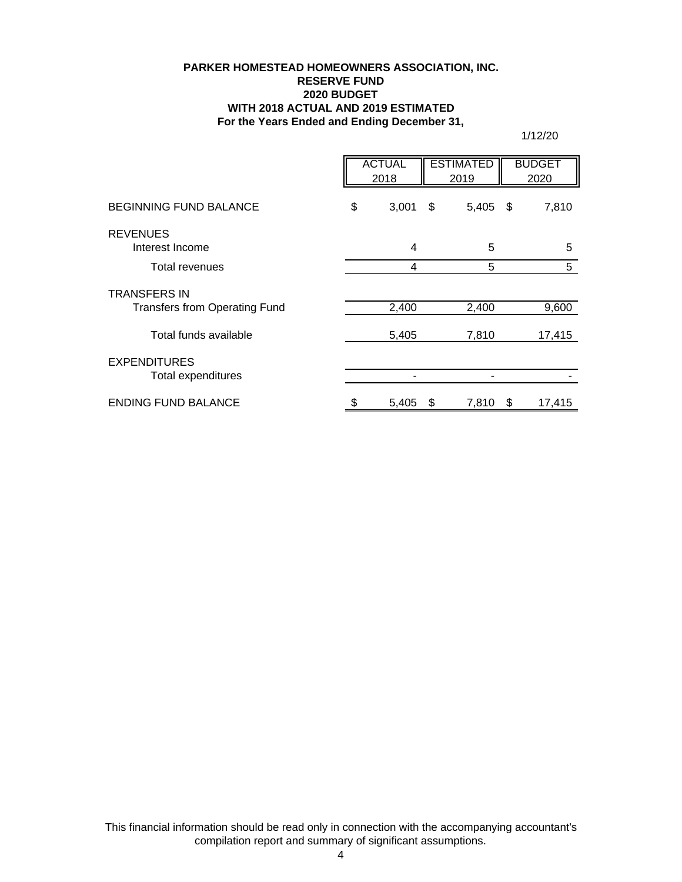## **PARKER HOMESTEAD HOMEOWNERS ASSOCIATION, INC. RESERVE FUND 2020 BUDGET WITH 2018 ACTUAL AND 2019 ESTIMATED For the Years Ended and Ending December 31,**

1/12/20

|                                      | <b>ACTUAL</b><br>2018 |    | <b>ESTIMATED</b><br>2019 |      | <b>BUDGET</b><br>2020 |
|--------------------------------------|-----------------------|----|--------------------------|------|-----------------------|
| <b>BEGINNING FUND BALANCE</b>        | \$<br>3,001           | \$ | 5,405                    | - \$ | 7,810                 |
| <b>REVENUES</b><br>Interest Income   | 4                     |    | 5                        |      | 5                     |
| Total revenues                       | $\overline{4}$        |    | 5                        |      | 5                     |
| <b>TRANSFERS IN</b>                  |                       |    |                          |      |                       |
| <b>Transfers from Operating Fund</b> | 2,400                 |    | 2,400                    |      | 9,600                 |
| Total funds available                | 5,405                 |    | 7,810                    |      | 17,415                |
| <b>EXPENDITURES</b>                  |                       |    |                          |      |                       |
| Total expenditures                   |                       |    |                          |      |                       |
| <b>ENDING FUND BALANCE</b>           | 5,405                 | S  | 7,810                    | \$   | 17,415                |